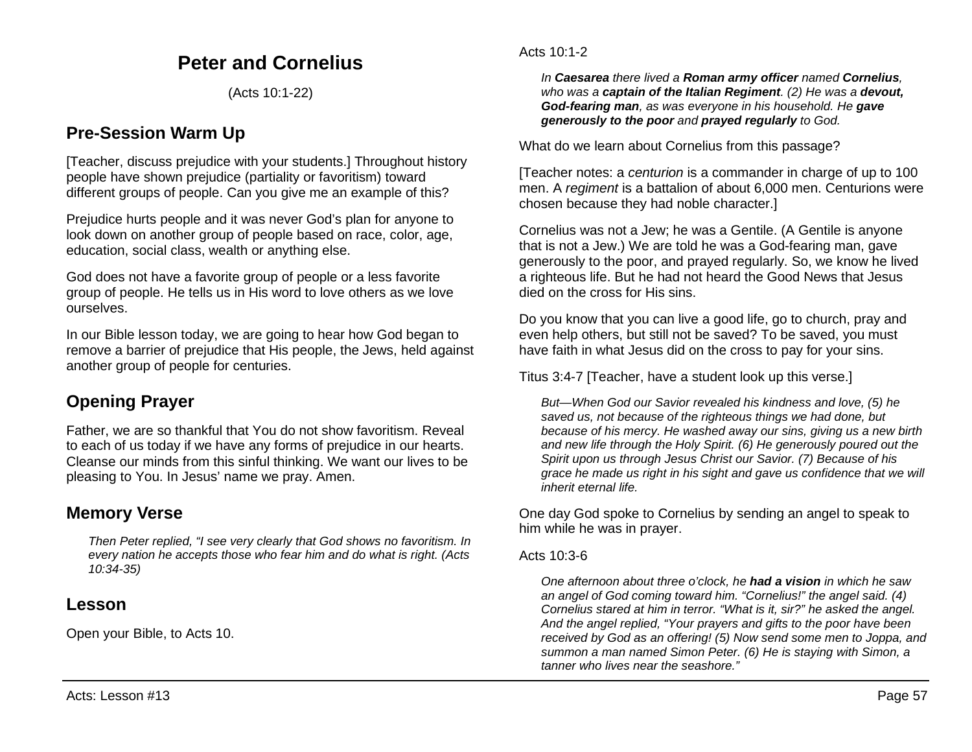### **Peter and Cornelius**

(Acts 10:1-22)

### **Pre-Session Warm Up**

[Teacher, discuss prejudice with your students.] Throughout history people have shown prejudice (partiality or favoritism) toward different groups of people. Can you give me an example of this?

Prejudice hurts people and it was never God's plan for anyone to look down on another group of people based on race, color, age, education, social class, wealth or anything else.

God does not have a favorite group of people or a less favorite group of people. He tells us in His word to love others as we love ourselves.

In our Bible lesson today, we are going to hear how God began to remove a barrier of prejudice that His people, the Jews, held against another group of people for centuries.

# **Opening Prayer**

Father, we are so thankful that You do not show favoritism. Reveal to each of us today if we have any forms of prejudice in our hearts. Cleanse our minds from this sinful thinking. We want our lives to be pleasing to You. In Jesus' name we pray. Amen.

### **Memory Verse**

*Then Peter replied, "I see very clearly that God shows no favoritism. In every nation he accepts those who fear him and do what is right. (Acts 10:34-35)*

### **Lesson**

Open your Bible, to Acts 10.

#### Acts 10:1-2

*In Caesarea there lived a Roman army officer named Cornelius, who was a captain of the Italian Regiment. (2) He was a devout, God-fearing man, as was everyone in his household. He gave generously to the poor and prayed regularly to God.*

What do we learn about Cornelius from this passage?

[Teacher notes: a *centurion* is a commander in charge of up to 100 men. A *regiment* is a battalion of about 6,000 men. Centurions were chosen because they had noble character.]

Cornelius was not a Jew; he was a Gentile. (A Gentile is anyone that is not a Jew.) We are told he was a God-fearing man, gave generously to the poor, and prayed regularly. So, we know he lived a righteous life. But he had not heard the Good News that Jesus died on the cross for His sins.

Do you know that you can live a good life, go to church, pray and even help others, but still not be saved? To be saved, you must have faith in what Jesus did on the cross to pay for your sins.

Titus 3:4-7 [Teacher, have a student look up this verse.]

*But—When God our Savior revealed his kindness and love, (5) he saved us, not because of the righteous things we had done, but because of his mercy. He washed away our sins, giving us a new birth and new life through the Holy Spirit. (6) He generously poured out the Spirit upon us through Jesus Christ our Savior. (7) Because of his grace he made us right in his sight and gave us confidence that we will inherit eternal life.*

One day God spoke to Cornelius by sending an angel to speak to him while he was in prayer.

#### Acts  $10:3-6$

*One afternoon about three o'clock, he had a vision in which he saw an angel of God coming toward him. "Cornelius!" the angel said. (4) Cornelius stared at him in terror. "What is it, sir?" he asked the angel. And the angel replied, "Your prayers and gifts to the poor have been received by God as an offering! (5) Now send some men to Joppa, and summon a man named Simon Peter. (6) He is staying with Simon, a tanner who lives near the seashore."*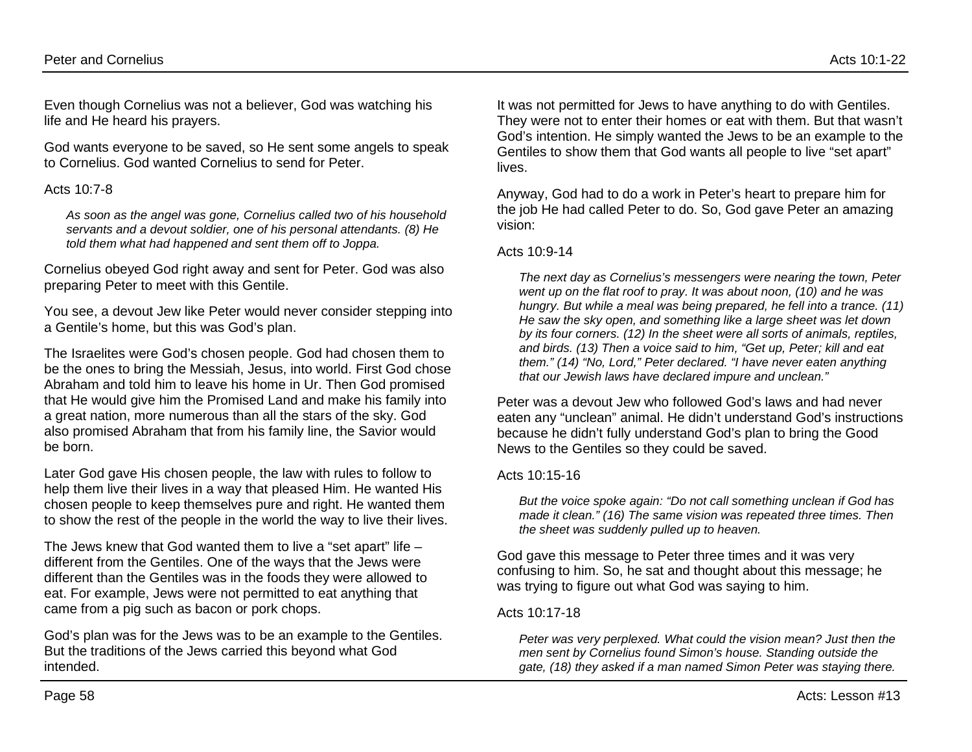Even though Cornelius was not a believer, God was watching his life and He heard his prayers.

God wants everyone to be saved, so He sent some angels to speak to Cornelius. God wanted Cornelius to send for Peter.

#### Acts 10:7-8

*As soon as the angel was gone, Cornelius called two of his household servants and a devout soldier, one of his personal attendants. (8) He told them what had happened and sent them off to Joppa.*

Cornelius obeyed God right away and sent for Peter. God was also preparing Peter to meet with this Gentile.

You see, a devout Jew like Peter would never consider stepping into a Gentile's home, but this was God's plan.

The Israelites were God's chosen people. God had chosen them to be the ones to bring the Messiah, Jesus, into world. First God chose Abraham and told him to leave his home in Ur. Then God promised that He would give him the Promised Land and make his family into a great nation, more numerous than all the stars of the sky. God also promised Abraham that from his family line, the Savior would be born.

Later God gave His chosen people, the law with rules to follow to help them live their lives in a way that pleased Him. He wanted His chosen people to keep themselves pure and right. He wanted them to show the rest of the people in the world the way to live their lives.

The Jews knew that God wanted them to live a "set apart" life – different from the Gentiles. One of the ways that the Jews were different than the Gentiles was in the foods they were allowed to eat. For example, Jews were not permitted to eat anything that came from a pig such as bacon or pork chops.

God's plan was for the Jews was to be an example to the Gentiles. But the traditions of the Jews carried this beyond what God intended.

It was not permitted for Jews to have anything to do with Gentiles. They were not to enter their homes or eat with them. But that wasn't God's intention. He simply wanted the Jews to be an example to the Gentiles to show them that God wants all people to live "set apart" lives.

Anyway, God had to do a work in Peter's heart to prepare him for the job He had called Peter to do. So, God gave Peter an amazing vision:

#### Acts 10:9-14

*The next day as Cornelius's messengers were nearing the town, Peter went up on the flat roof to pray. It was about noon, (10) and he was hungry. But while a meal was being prepared, he fell into a trance. (11) He saw the sky open, and something like a large sheet was let down by its four corners. (12) In the sheet were all sorts of animals, reptiles, and birds. (13) Then a voice said to him, "Get up, Peter; kill and eat them." (14) "No, Lord," Peter declared. "I have never eaten anything that our Jewish laws have declared impure and unclean."*

Peter was a devout Jew who followed God's laws and had never eaten any "unclean" animal. He didn't understand God's instructions because he didn't fully understand God's plan to bring the Good News to the Gentiles so they could be saved.

#### Acts 10:15-16

*But the voice spoke again: "Do not call something unclean if God has made it clean." (16) The same vision was repeated three times. Then the sheet was suddenly pulled up to heaven.*

God gave this message to Peter three times and it was very confusing to him. So, he sat and thought about this message; he was trying to figure out what God was saying to him.

#### Acts 10:17-18

*Peter was very perplexed. What could the vision mean? Just then the men sent by Cornelius found Simon's house. Standing outside the gate, (18) they asked if a man named Simon Peter was staying there.*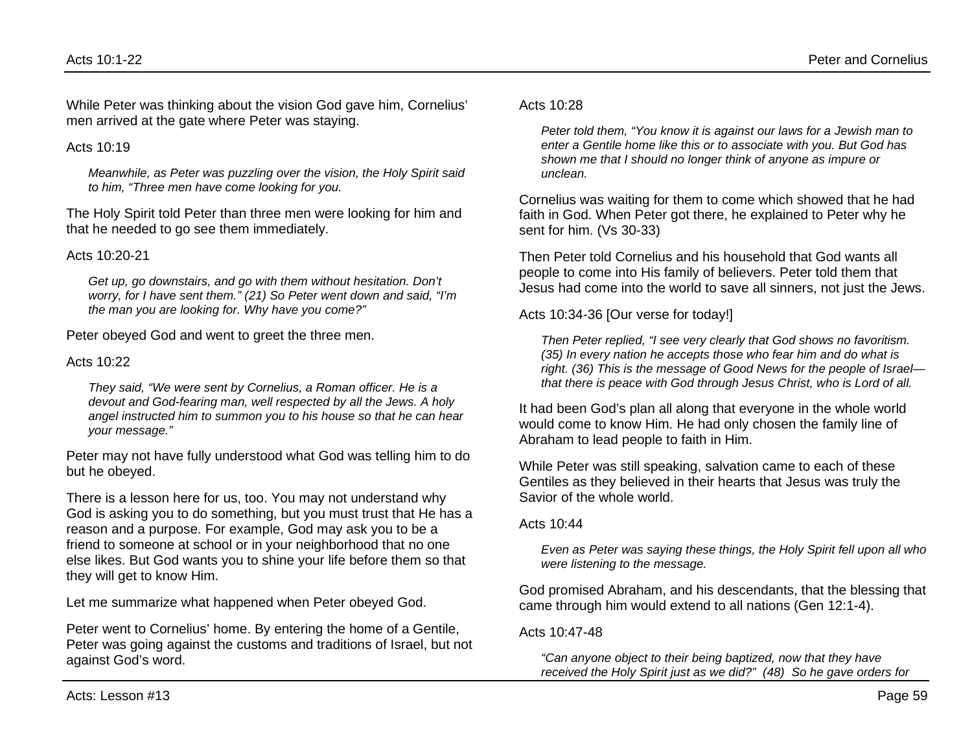While Peter was thinking about the vision God gave him, Cornelius' men arrived at the gate where Peter was staying.

#### Acts  $10.19$

*Meanwhile, as Peter was puzzling over the vision, the Holy Spirit said to him, "Three men have come looking for you.*

The Holy Spirit told Peter than three men were looking for him and that he needed to go see them immediately.

#### Acts 10:20-21

*Get up, go downstairs, and go with them without hesitation. Don't worry, for I have sent them." (21) So Peter went down and said, "I'm the man you are looking for. Why have you come?"*

Peter obeyed God and went to greet the three men.

#### Acts 10:22

*They said, "We were sent by Cornelius, a Roman officer. He is a devout and God-fearing man, well respected by all the Jews. A holy angel instructed him to summon you to his house so that he can hear your message."*

Peter may not have fully understood what God was telling him to do but he obeyed.

There is a lesson here for us, too. You may not understand why God is asking you to do something, but you must trust that He has a reason and a purpose. For example, God may ask you to be a friend to someone at school or in your neighborhood that no one else likes. But God wants you to shine your life before them so that they will get to know Him.

Let me summarize what happened when Peter obeyed God.

Peter went to Cornelius' home. By entering the home of a Gentile, Peter was going against the customs and traditions of Israel, but not against God's word.

Acts  $10.28$ 

*Peter told them, "You know it is against our laws for a Jewish man to enter a Gentile home like this or to associate with you. But God has shown me that I should no longer think of anyone as impure or unclean.*

Cornelius was waiting for them to come which showed that he had faith in God. When Peter got there, he explained to Peter why he sent for him. (Vs 30-33)

Then Peter told Cornelius and his household that God wants all people to come into His family of believers. Peter told them that Jesus had come into the world to save all sinners, not just the Jews.

Acts 10:34-36 [Our verse for today!]

*Then Peter replied, "I see very clearly that God shows no favoritism. (35) In every nation he accepts those who fear him and do what is right. (36) This is the message of Good News for the people of Israel that there is peace with God through Jesus Christ, who is Lord of all.*

It had been God's plan all along that everyone in the whole world would come to know Him. He had only chosen the family line of Abraham to lead people to faith in Him.

While Peter was still speaking, salvation came to each of these Gentiles as they believed in their hearts that Jesus was truly the Savior of the whole world.

Acts 10:44

*Even as Peter was saying these things, the Holy Spirit fell upon all who were listening to the message.*

God promised Abraham, and his descendants, that the blessing that came through him would extend to all nations (Gen 12:1-4).

Acts 10:47-48

*"Can anyone object to their being baptized, now that they have received the Holy Spirit just as we did?" (48) So he gave orders for*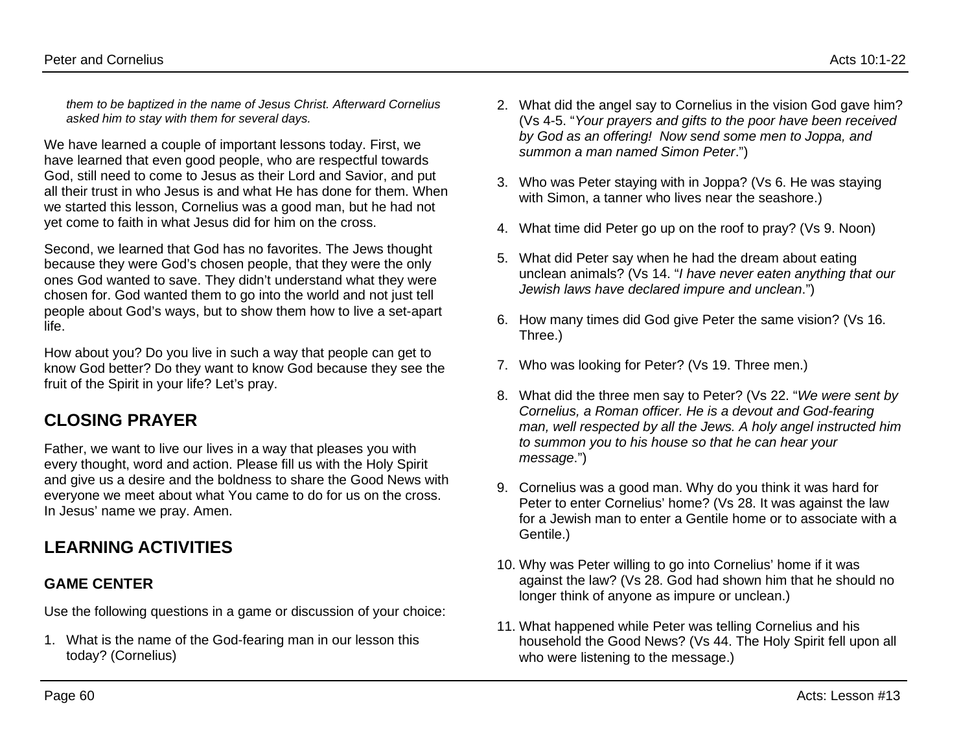*them to be baptized in the name of Jesus Christ. Afterward Cornelius asked him to stay with them for several days.*

We have learned a couple of important lessons today. First, we have learned that even good people, who are respectful towards God, still need to come to Jesus as their Lord and Savior, and put all their trust in who Jesus is and what He has done for them. When we started this lesson, Cornelius was a good man, but he had not yet come to faith in what Jesus did for him on the cross.

Second, we learned that God has no favorites. The Jews thought because they were God's chosen people, that they were the only ones God wanted to save. They didn't understand what they were chosen for. God wanted them to go into the world and not just tell people about God's ways, but to show them how to live a set-apart life.

How about you? Do you live in such a way that people can get to know God better? Do they want to know God because they see the fruit of the Spirit in your life? Let's pray.

# **CLOSING PRAYER**

Father, we want to live our lives in a way that pleases you with every thought, word and action. Please fill us with the Holy Spirit and give us a desire and the boldness to share the Good News with everyone we meet about what You came to do for us on the cross. In Jesus' name we pray. Amen.

# **LEARNING ACTIVITIES**

### **GAME CENTER**

Use the following questions in a game or discussion of your choice:

1. What is the name of the God-fearing man in our lesson this today? (Cornelius)

- 2. What did the angel say to Cornelius in the vision God gave him? (Vs 4-5. "*Your prayers and gifts to the poor have been received by God as an offering! Now send some men to Joppa, and summon a man named Simon Peter*.")
- 3. Who was Peter staying with in Joppa? (Vs 6. He was staying with Simon, a tanner who lives near the seashore.)
- 4. What time did Peter go up on the roof to pray? (Vs 9. Noon)
- 5. What did Peter say when he had the dream about eating unclean animals? (Vs 14. "*I have never eaten anything that our Jewish laws have declared impure and unclean*.")
- 6. How many times did God give Peter the same vision? (Vs 16. Three.)
- 7. Who was looking for Peter? (Vs 19. Three men.)
- 8. What did the three men say to Peter? (Vs 22. "*We were sent by Cornelius, a Roman officer. He is a devout and God-fearing man, well respected by all the Jews. A holy angel instructed him to summon you to his house so that he can hear your message*.")
- 9. Cornelius was a good man. Why do you think it was hard for Peter to enter Cornelius' home? (Vs 28. It was against the law for a Jewish man to enter a Gentile home or to associate with a Gentile.)
- 10. Why was Peter willing to go into Cornelius' home if it was against the law? (Vs 28. God had shown him that he should no longer think of anyone as impure or unclean.)
- 11. What happened while Peter was telling Cornelius and his household the Good News? (Vs 44. The Holy Spirit fell upon all who were listening to the message.)